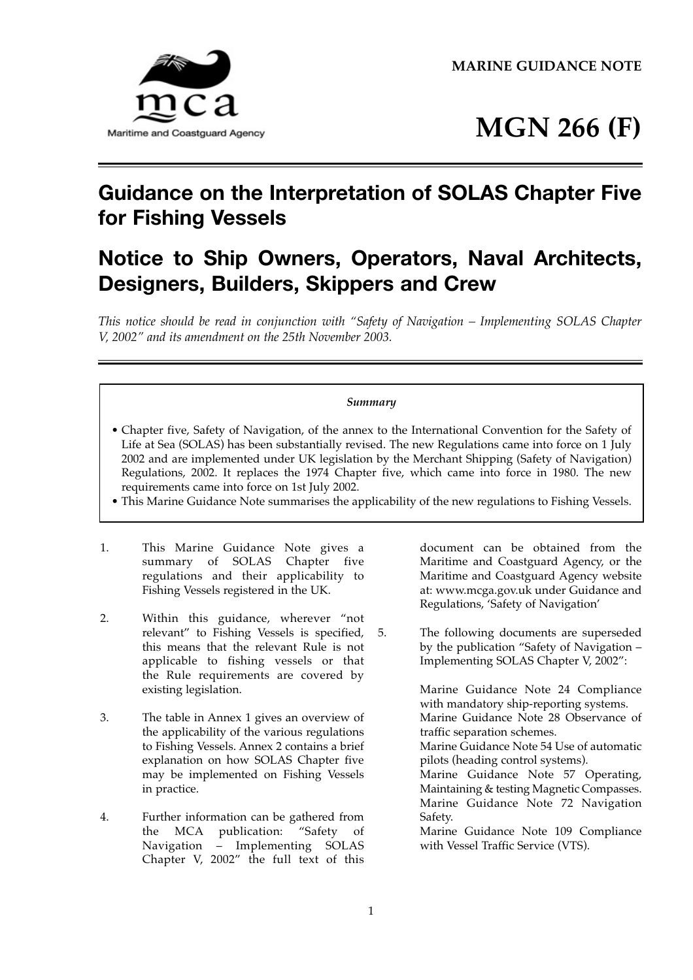**MARINE GUIDANCE NOTE** 



# **MGN 266 (F)**

# **Guidance on the Interpretation of SOLAS Chapter Five for Fishing Vessels**

# **Notice to Ship Owners, Operators, Naval Architects, Designers, Builders, Skippers and Crew**

*This notice should be read in conjunction with "Safety of Navigation – Implementing SOLAS Chapter V, 2002" and its amendment on the 25th November 2003.* 

# *Summary*

- Chapter five, Safety of Navigation, of the annex to the International Convention for the Safety of Life at Sea (SOLAS) has been substantially revised. The new Regulations came into force on 1 July 2002 and are implemented under UK legislation by the Merchant Shipping (Safety of Navigation) Regulations, 2002. It replaces the 1974 Chapter five, which came into force in 1980. The new requirements came into force on 1st July 2002.
- This Marine Guidance Note summarises the applicability of the new regulations to Fishing Vessels.
- 1. This Marine Guidance Note gives a summary of SOLAS Chapter five regulations and their applicability to Fishing Vessels registered in the UK.
- 2. Within this guidance, wherever "not relevant" to Fishing Vessels is specified, this means that the relevant Rule is not applicable to fishing vessels or that the Rule requirements are covered by existing legislation.
- 3. The table in Annex 1 gives an overview of the applicability of the various regulations to Fishing Vessels. Annex 2 contains a brief explanation on how SOLAS Chapter five may be implemented on Fishing Vessels in practice.
- 4. Further information can be gathered from the MCA publication: "Safety of Navigation – Implementing SOLAS Chapter V, 2002" the full text of this

 Maritime and Coastguard Agency, or the document can be obtained from the Maritime and Coastguard Agency website at: www.mcga.gov.uk under Guidance and Regulations, 'Safety of Navigation'

5. The following documents are superseded by the publication "Safety of Navigation – Implementing SOLAS Chapter V, 2002":

> Marine Guidance Note 24 Compliance with mandatory ship-reporting systems. Marine Guidance Note 28 Observance of traffic separation schemes.

> Marine Guidance Note 54 Use of automatic pilots (heading control systems).

> Marine Guidance Note 57 Operating, Maintaining & testing Magnetic Compasses. Marine Guidance Note 72 Navigation Safety.

> Marine Guidance Note 109 Compliance with Vessel Traffic Service (VTS).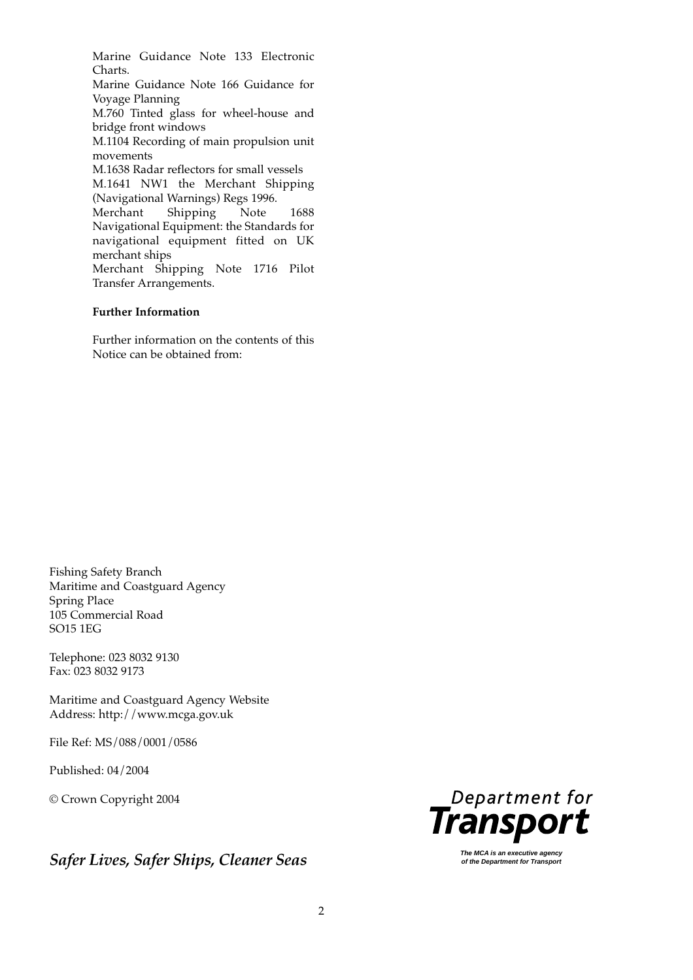Marine Guidance Note 133 Electronic Charts.

Marine Guidance Note 166 Guidance for Voyage Planning

M.760 Tinted glass for wheel-house and bridge front windows

M.1104 Recording of main propulsion unit movements

M.1638 Radar reflectors for small vessels M.1641 NW1 the Merchant Shipping (Navigational Warnings) Regs 1996. Merchant Shipping Note 1688 Navigational Equipment: the Standards for navigational equipment fitted on UK merchant ships

Merchant Shipping Note 1716 Pilot Transfer Arrangements.

#### **Further Information**

Further information on the contents of this Notice can be obtained from:

Fishing Safety Branch Maritime and Coastguard Agency Spring Place 105 Commercial Road SO15 1EG

Telephone: 023 8032 9130 Fax: 023 8032 9173

Maritime and Coastguard Agency Website Address: http://www.mcga.gov.uk

File Ref: MS/088/0001/0586

Published: 04/2004

© Crown Copyright 2004

**Safer Lives, Safer Ships, Cleaner Seas** <br> **Safer Lives, Safer Ships, Cleaner Seas** *of the Department for Transport**Seasure* 

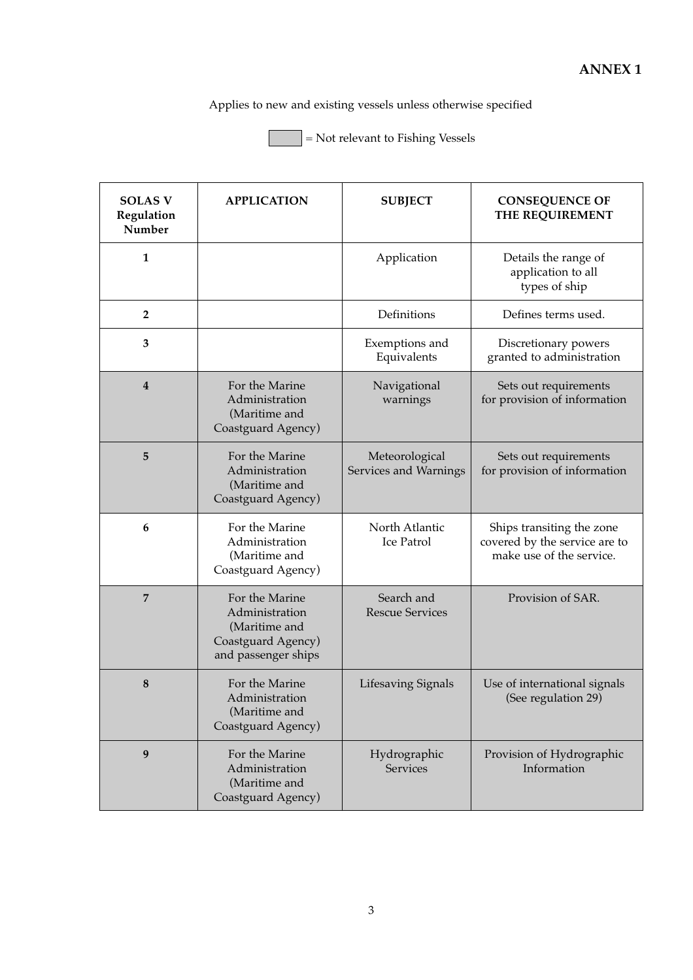Applies to new and existing vessels unless otherwise specified

= Not relevant to Fishing Vessels

| <b>SOLAS V</b><br>Regulation<br>Number | <b>APPLICATION</b>                                                                             | <b>SUBJECT</b>                          | <b>CONSEQUENCE OF</b><br>THE REQUIREMENT                                               |
|----------------------------------------|------------------------------------------------------------------------------------------------|-----------------------------------------|----------------------------------------------------------------------------------------|
| 1                                      |                                                                                                | Application                             | Details the range of<br>application to all<br>types of ship                            |
| $\overline{2}$                         |                                                                                                | Definitions                             | Defines terms used.                                                                    |
| 3                                      |                                                                                                | Exemptions and<br>Equivalents           | Discretionary powers<br>granted to administration                                      |
| $\overline{4}$                         | For the Marine<br>Administration<br>(Maritime and<br>Coastguard Agency)                        | Navigational<br>warnings                | Sets out requirements<br>for provision of information                                  |
| 5                                      | For the Marine<br>Administration<br>(Maritime and<br>Coastguard Agency)                        | Meteorological<br>Services and Warnings | Sets out requirements<br>for provision of information                                  |
| 6                                      | For the Marine<br>Administration<br>(Maritime and<br>Coastguard Agency)                        | North Atlantic<br>Ice Patrol            | Ships transiting the zone<br>covered by the service are to<br>make use of the service. |
| $\overline{7}$                         | For the Marine<br>Administration<br>(Maritime and<br>Coastguard Agency)<br>and passenger ships | Search and<br><b>Rescue Services</b>    | Provision of SAR.                                                                      |
| 8                                      | For the Marine<br>Administration<br>(Maritime and<br>Coastguard Agency)                        | <b>Lifesaving Signals</b>               | Use of international signals<br>(See regulation 29)                                    |
| 9                                      | For the Marine<br>Administration<br>(Maritime and<br>Coastguard Agency)                        | Hydrographic<br><b>Services</b>         | Provision of Hydrographic<br>Information                                               |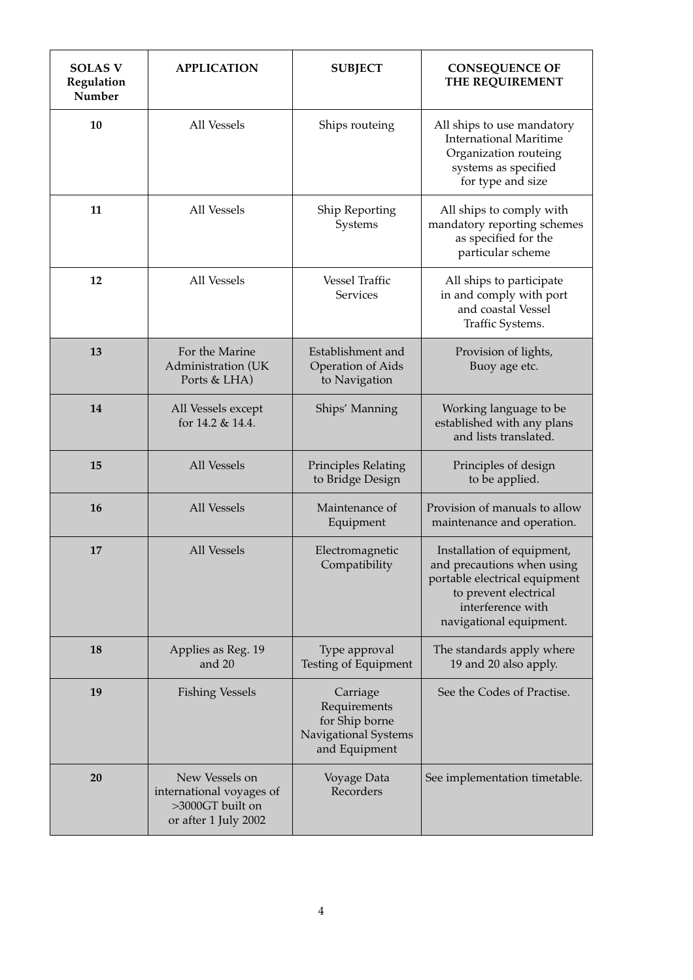| <b>SOLAS V</b><br>Regulation<br>Number | <b>APPLICATION</b>                                                                     | <b>SUBJECT</b>                                                                      | <b>CONSEQUENCE OF</b><br>THE REQUIREMENT                                                                                                                           |
|----------------------------------------|----------------------------------------------------------------------------------------|-------------------------------------------------------------------------------------|--------------------------------------------------------------------------------------------------------------------------------------------------------------------|
| 10                                     | All Vessels                                                                            | Ships routeing                                                                      | All ships to use mandatory<br><b>International Maritime</b><br>Organization routeing<br>systems as specified<br>for type and size                                  |
| 11                                     | All Vessels                                                                            | Ship Reporting<br>Systems                                                           | All ships to comply with<br>mandatory reporting schemes<br>as specified for the<br>particular scheme                                                               |
| 12                                     | All Vessels                                                                            | <b>Vessel Traffic</b><br><b>Services</b>                                            | All ships to participate<br>in and comply with port<br>and coastal Vessel<br>Traffic Systems.                                                                      |
| 13                                     | For the Marine<br>Administration (UK<br>Ports & LHA)                                   | Establishment and<br><b>Operation of Aids</b><br>to Navigation                      | Provision of lights,<br>Buoy age etc.                                                                                                                              |
| 14                                     | All Vessels except<br>for 14.2 & 14.4.                                                 | Ships' Manning                                                                      | Working language to be<br>established with any plans<br>and lists translated.                                                                                      |
| 15                                     | All Vessels                                                                            | Principles Relating<br>to Bridge Design                                             | Principles of design<br>to be applied.                                                                                                                             |
| 16                                     | All Vessels                                                                            | Maintenance of<br>Equipment                                                         | Provision of manuals to allow<br>maintenance and operation.                                                                                                        |
| 17                                     | All Vessels                                                                            | Electromagnetic<br>Compatibility                                                    | Installation of equipment,<br>and precautions when using<br>portable electrical equipment<br>to prevent electrical<br>interference with<br>navigational equipment. |
| 18                                     | Applies as Reg. 19<br>and $20$                                                         | Type approval<br>Testing of Equipment                                               | The standards apply where<br>19 and 20 also apply.                                                                                                                 |
| 19                                     | <b>Fishing Vessels</b>                                                                 | Carriage<br>Requirements<br>for Ship borne<br>Navigational Systems<br>and Equipment | See the Codes of Practise.                                                                                                                                         |
| 20                                     | New Vessels on<br>international voyages of<br>>3000GT built on<br>or after 1 July 2002 | Voyage Data<br>Recorders                                                            | See implementation timetable.                                                                                                                                      |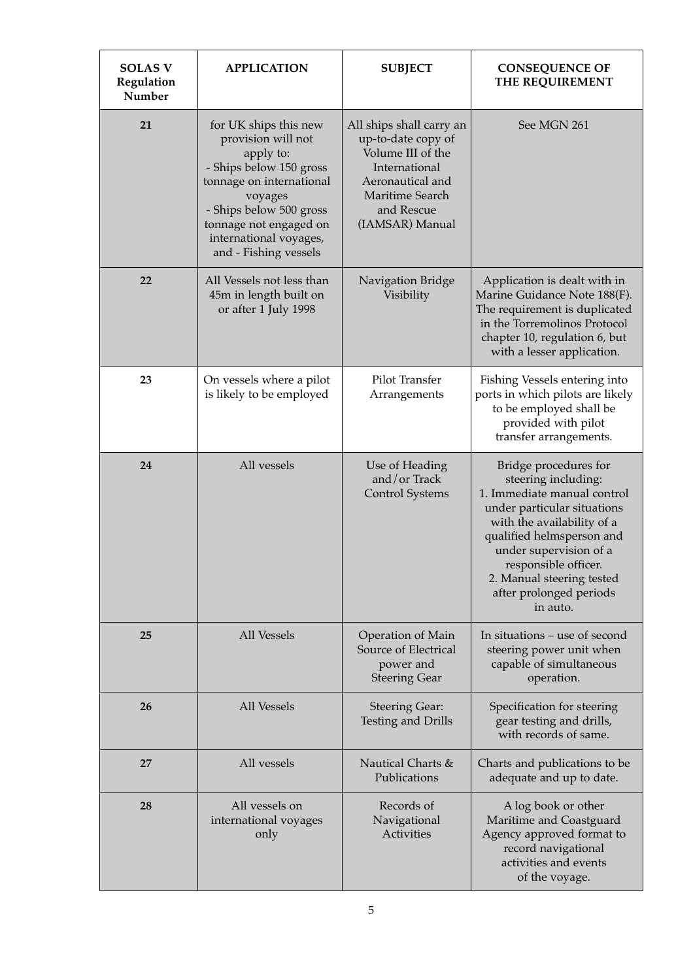| <b>SOLAS V</b><br>Regulation<br>Number | <b>APPLICATION</b>                                                                                                                                                                                                                 | <b>SUBJECT</b>                                                                                                                                               | <b>CONSEQUENCE OF</b><br>THE REQUIREMENT                                                                                                                                                                                                                                                    |
|----------------------------------------|------------------------------------------------------------------------------------------------------------------------------------------------------------------------------------------------------------------------------------|--------------------------------------------------------------------------------------------------------------------------------------------------------------|---------------------------------------------------------------------------------------------------------------------------------------------------------------------------------------------------------------------------------------------------------------------------------------------|
| 21                                     | for UK ships this new<br>provision will not<br>apply to:<br>- Ships below 150 gross<br>tonnage on international<br>voyages<br>- Ships below 500 gross<br>tonnage not engaged on<br>international voyages,<br>and - Fishing vessels | All ships shall carry an<br>up-to-date copy of<br>Volume III of the<br>International<br>Aeronautical and<br>Maritime Search<br>and Rescue<br>(IAMSAR) Manual | See MGN 261                                                                                                                                                                                                                                                                                 |
| 22                                     | All Vessels not less than<br>45m in length built on<br>or after 1 July 1998                                                                                                                                                        | Navigation Bridge<br>Visibility                                                                                                                              | Application is dealt with in<br>Marine Guidance Note 188(F).<br>The requirement is duplicated<br>in the Torremolinos Protocol<br>chapter 10, regulation 6, but<br>with a lesser application.                                                                                                |
| 23                                     | On vessels where a pilot<br>is likely to be employed                                                                                                                                                                               | Pilot Transfer<br>Arrangements                                                                                                                               | Fishing Vessels entering into<br>ports in which pilots are likely<br>to be employed shall be<br>provided with pilot<br>transfer arrangements.                                                                                                                                               |
| 24                                     | All vessels                                                                                                                                                                                                                        | Use of Heading<br>and/or Track<br><b>Control Systems</b>                                                                                                     | Bridge procedures for<br>steering including:<br>1. Immediate manual control<br>under particular situations<br>with the availability of a<br>qualified helmsperson and<br>under supervision of a<br>responsible officer.<br>2. Manual steering tested<br>after prolonged periods<br>in auto. |
| 25                                     | <b>All Vessels</b>                                                                                                                                                                                                                 | Operation of Main<br>Source of Electrical<br>power and<br><b>Steering Gear</b>                                                                               | In situations – use of second<br>steering power unit when<br>capable of simultaneous<br>operation.                                                                                                                                                                                          |
| 26                                     | <b>All Vessels</b>                                                                                                                                                                                                                 | <b>Steering Gear:</b><br><b>Testing and Drills</b>                                                                                                           | Specification for steering<br>gear testing and drills,<br>with records of same.                                                                                                                                                                                                             |
| 27                                     | All vessels                                                                                                                                                                                                                        | Nautical Charts &<br>Publications                                                                                                                            | Charts and publications to be<br>adequate and up to date.                                                                                                                                                                                                                                   |
| 28                                     | All vessels on<br>international voyages<br>only                                                                                                                                                                                    | Records of<br>Navigational<br><b>Activities</b>                                                                                                              | A log book or other<br>Maritime and Coastguard<br>Agency approved format to<br>record navigational<br>activities and events<br>of the voyage.                                                                                                                                               |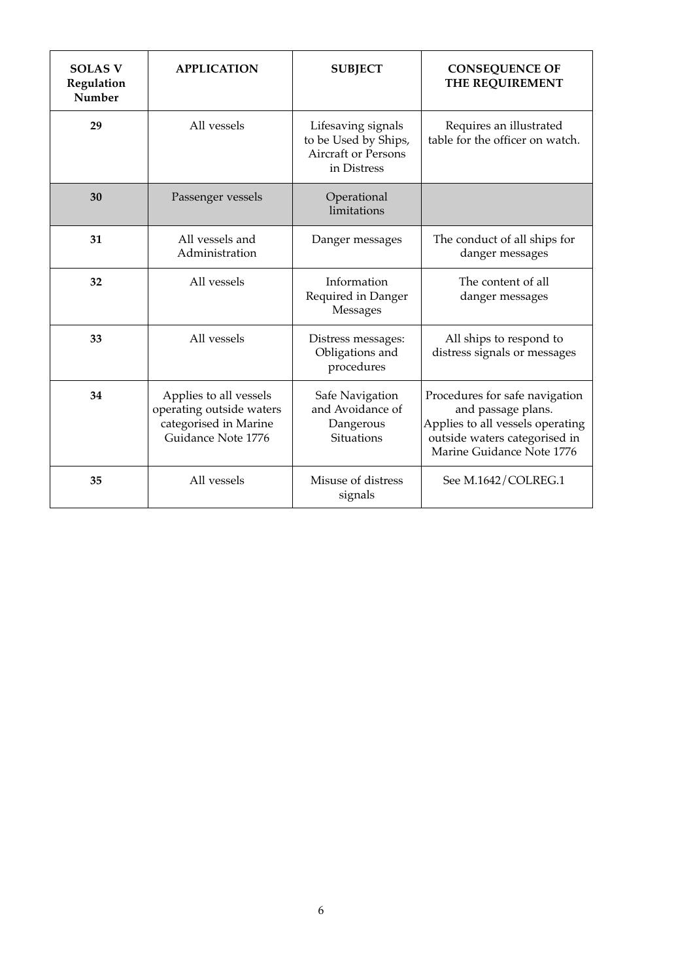| <b>SOLAS V</b><br>Regulation<br>Number | <b>APPLICATION</b>                                                                                | <b>SUBJECT</b>                                                                   | <b>CONSEQUENCE OF</b><br>THE REQUIREMENT                                                                                                               |
|----------------------------------------|---------------------------------------------------------------------------------------------------|----------------------------------------------------------------------------------|--------------------------------------------------------------------------------------------------------------------------------------------------------|
| 29                                     | All vessels                                                                                       | Lifesaving signals<br>to be Used by Ships,<br>Aircraft or Persons<br>in Distress | Requires an illustrated<br>table for the officer on watch.                                                                                             |
| 30                                     | Passenger vessels                                                                                 | Operational<br>limitations                                                       |                                                                                                                                                        |
| 31                                     | All vessels and<br>Administration                                                                 | Danger messages                                                                  | The conduct of all ships for<br>danger messages                                                                                                        |
| 32                                     | All vessels                                                                                       | Information<br>Required in Danger<br>Messages                                    | The content of all<br>danger messages                                                                                                                  |
| 33                                     | All vessels                                                                                       | Distress messages:<br>Obligations and<br>procedures                              | All ships to respond to<br>distress signals or messages                                                                                                |
| 34                                     | Applies to all vessels<br>operating outside waters<br>categorised in Marine<br>Guidance Note 1776 | Safe Navigation<br>and Avoidance of<br>Dangerous<br><b>Situations</b>            | Procedures for safe navigation<br>and passage plans.<br>Applies to all vessels operating<br>outside waters categorised in<br>Marine Guidance Note 1776 |
| 35                                     | All vessels                                                                                       | Misuse of distress<br>signals                                                    | See M.1642/COLREG.1                                                                                                                                    |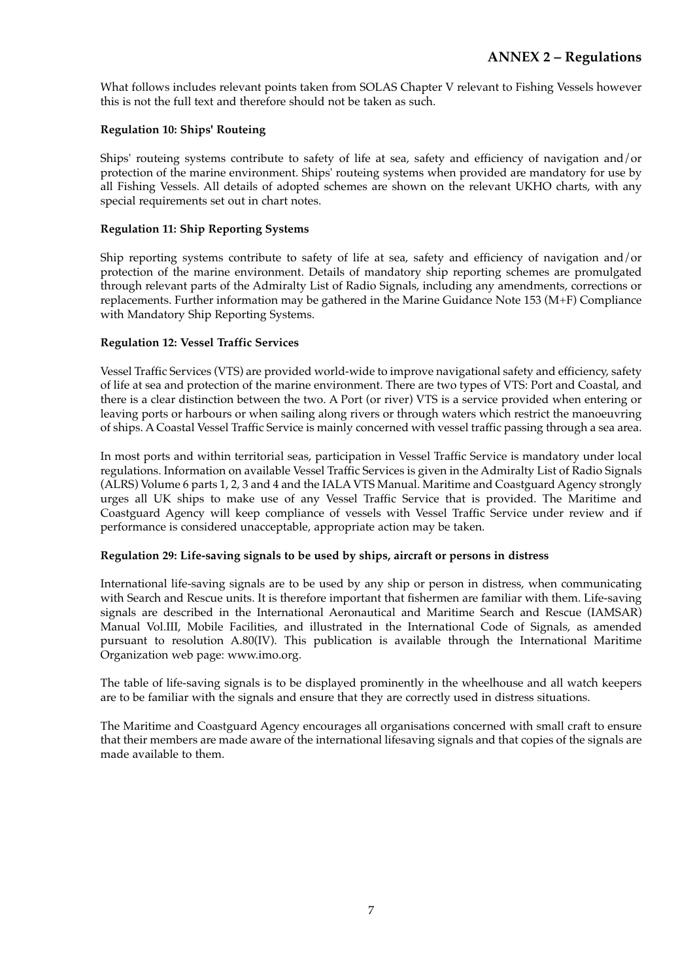What follows includes relevant points taken from SOLAS Chapter V relevant to Fishing Vessels however this is not the full text and therefore should not be taken as such.

#### **Regulation 10: Ships' Routeing**

Ships' routeing systems contribute to safety of life at sea, safety and efficiency of navigation and/or protection of the marine environment. Ships' routeing systems when provided are mandatory for use by all Fishing Vessels. All details of adopted schemes are shown on the relevant UKHO charts, with any special requirements set out in chart notes.

### **Regulation 11: Ship Reporting Systems**

Ship reporting systems contribute to safety of life at sea, safety and efficiency of navigation and/or protection of the marine environment. Details of mandatory ship reporting schemes are promulgated through relevant parts of the Admiralty List of Radio Signals, including any amendments, corrections or replacements. Further information may be gathered in the Marine Guidance Note 153 (M+F) Compliance with Mandatory Ship Reporting Systems.

# **Regulation 12: Vessel Traffic Services**

Vessel Traffic Services (VTS) are provided world-wide to improve navigational safety and efficiency, safety of life at sea and protection of the marine environment. There are two types of VTS: Port and Coastal, and there is a clear distinction between the two. A Port (or river) VTS is a service provided when entering or leaving ports or harbours or when sailing along rivers or through waters which restrict the manoeuvring of ships. A Coastal Vessel Traffic Service is mainly concerned with vessel traffic passing through a sea area.

In most ports and within territorial seas, participation in Vessel Traffic Service is mandatory under local regulations. Information on available Vessel Traffic Services is given in the Admiralty List of Radio Signals (ALRS) Volume 6 parts 1, 2, 3 and 4 and the IALA VTS Manual. Maritime and Coastguard Agency strongly urges all UK ships to make use of any Vessel Traffic Service that is provided. The Maritime and Coastguard Agency will keep compliance of vessels with Vessel Traffic Service under review and if performance is considered unacceptable, appropriate action may be taken.

#### **Regulation 29: Life-saving signals to be used by ships, aircraft or persons in distress**

International life-saving signals are to be used by any ship or person in distress, when communicating with Search and Rescue units. It is therefore important that fishermen are familiar with them. Life-saving signals are described in the International Aeronautical and Maritime Search and Rescue (IAMSAR) Manual Vol.III, Mobile Facilities, and illustrated in the International Code of Signals, as amended pursuant to resolution A.80(IV). This publication is available through the International Maritime Organization web page: www.imo.org.

The table of life-saving signals is to be displayed prominently in the wheelhouse and all watch keepers are to be familiar with the signals and ensure that they are correctly used in distress situations.

The Maritime and Coastguard Agency encourages all organisations concerned with small craft to ensure that their members are made aware of the international lifesaving signals and that copies of the signals are made available to them.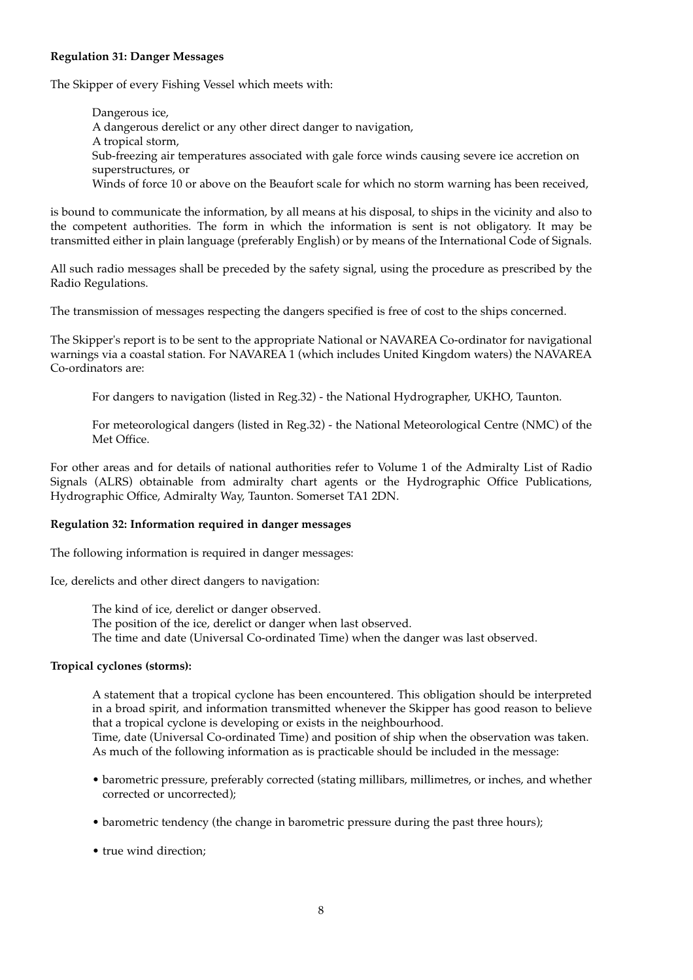#### **Regulation 31: Danger Messages**

The Skipper of every Fishing Vessel which meets with:

Dangerous ice, A dangerous derelict or any other direct danger to navigation, A tropical storm, Sub-freezing air temperatures associated with gale force winds causing severe ice accretion on superstructures, or Winds of force 10 or above on the Beaufort scale for which no storm warning has been received,

is bound to communicate the information, by all means at his disposal, to ships in the vicinity and also to the competent authorities. The form in which the information is sent is not obligatory. It may be transmitted either in plain language (preferably English) or by means of the International Code of Signals.

All such radio messages shall be preceded by the safety signal, using the procedure as prescribed by the Radio Regulations.

The transmission of messages respecting the dangers specified is free of cost to the ships concerned.

The Skipper's report is to be sent to the appropriate National or NAVAREA Co-ordinator for navigational warnings via a coastal station. For NAVAREA 1 (which includes United Kingdom waters) the NAVAREA Co-ordinators are:

For dangers to navigation (listed in Reg.32) - the National Hydrographer, UKHO, Taunton.

For meteorological dangers (listed in Reg.32) - the National Meteorological Centre (NMC) of the Met Office.

For other areas and for details of national authorities refer to Volume 1 of the Admiralty List of Radio Signals (ALRS) obtainable from admiralty chart agents or the Hydrographic Office Publications, Hydrographic Office, Admiralty Way, Taunton. Somerset TA1 2DN.

#### **Regulation 32: Information required in danger messages**

The following information is required in danger messages:

Ice, derelicts and other direct dangers to navigation:

The kind of ice, derelict or danger observed. The position of the ice, derelict or danger when last observed. The time and date (Universal Co-ordinated Time) when the danger was last observed.

#### **Tropical cyclones (storms):**

A statement that a tropical cyclone has been encountered. This obligation should be interpreted in a broad spirit, and information transmitted whenever the Skipper has good reason to believe that a tropical cyclone is developing or exists in the neighbourhood. Time, date (Universal Co-ordinated Time) and position of ship when the observation was taken. As much of the following information as is practicable should be included in the message:

- barometric pressure, preferably corrected (stating millibars, millimetres, or inches, and whether corrected or uncorrected);
- barometric tendency (the change in barometric pressure during the past three hours);
- true wind direction;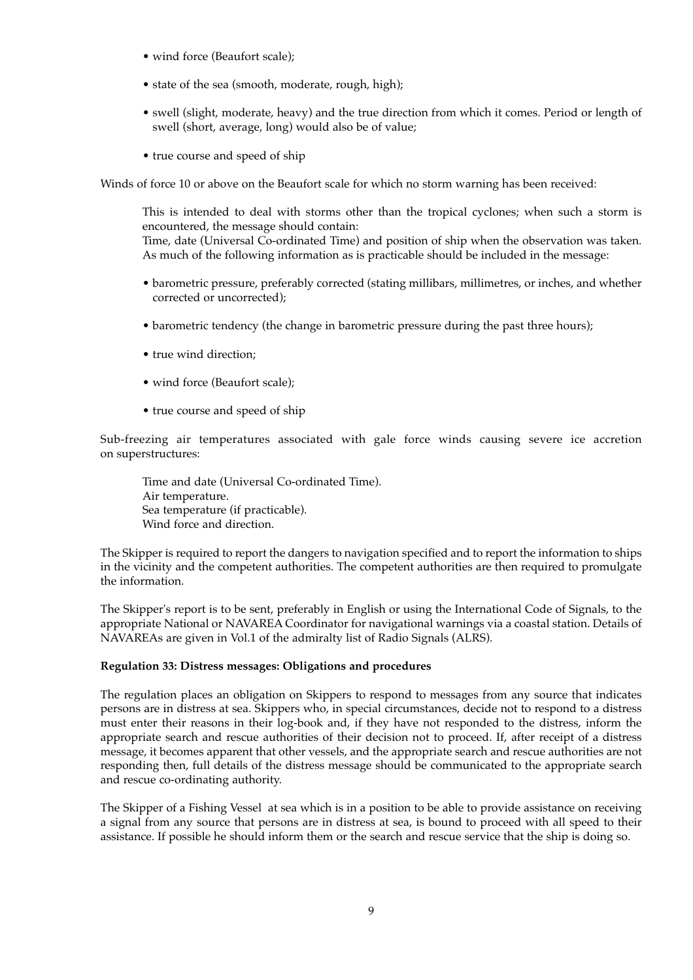- wind force (Beaufort scale);
- state of the sea (smooth, moderate, rough, high);
- swell (slight, moderate, heavy) and the true direction from which it comes. Period or length of swell (short, average, long) would also be of value;
- true course and speed of ship

Winds of force 10 or above on the Beaufort scale for which no storm warning has been received:

This is intended to deal with storms other than the tropical cyclones; when such a storm is encountered, the message should contain:

Time, date (Universal Co-ordinated Time) and position of ship when the observation was taken. As much of the following information as is practicable should be included in the message:

- barometric pressure, preferably corrected (stating millibars, millimetres, or inches, and whether corrected or uncorrected);
- barometric tendency (the change in barometric pressure during the past three hours);
- true wind direction;
- wind force (Beaufort scale);
- true course and speed of ship

Sub-freezing air temperatures associated with gale force winds causing severe ice accretion on superstructures:

Time and date (Universal Co-ordinated Time). Air temperature. Sea temperature (if practicable). Wind force and direction.

The Skipper is required to report the dangers to navigation specified and to report the information to ships in the vicinity and the competent authorities. The competent authorities are then required to promulgate the information.

The Skipper's report is to be sent, preferably in English or using the International Code of Signals, to the appropriate National or NAVAREA Coordinator for navigational warnings via a coastal station. Details of NAVAREAs are given in Vol.1 of the admiralty list of Radio Signals (ALRS).

#### **Regulation 33: Distress messages: Obligations and procedures**

The regulation places an obligation on Skippers to respond to messages from any source that indicates persons are in distress at sea. Skippers who, in special circumstances, decide not to respond to a distress must enter their reasons in their log-book and, if they have not responded to the distress, inform the appropriate search and rescue authorities of their decision not to proceed. If, after receipt of a distress message, it becomes apparent that other vessels, and the appropriate search and rescue authorities are not responding then, full details of the distress message should be communicated to the appropriate search and rescue co-ordinating authority.

The Skipper of a Fishing Vessel at sea which is in a position to be able to provide assistance on receiving a signal from any source that persons are in distress at sea, is bound to proceed with all speed to their assistance. If possible he should inform them or the search and rescue service that the ship is doing so.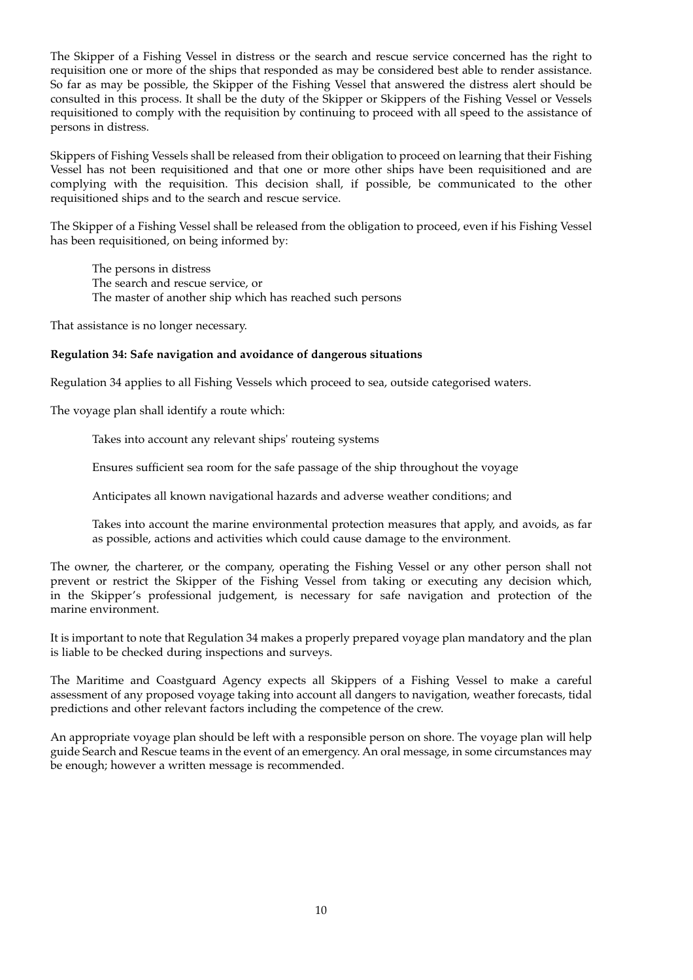The Skipper of a Fishing Vessel in distress or the search and rescue service concerned has the right to requisition one or more of the ships that responded as may be considered best able to render assistance. So far as may be possible, the Skipper of the Fishing Vessel that answered the distress alert should be consulted in this process. It shall be the duty of the Skipper or Skippers of the Fishing Vessel or Vessels requisitioned to comply with the requisition by continuing to proceed with all speed to the assistance of persons in distress.

Skippers of Fishing Vessels shall be released from their obligation to proceed on learning that their Fishing Vessel has not been requisitioned and that one or more other ships have been requisitioned and are complying with the requisition. This decision shall, if possible, be communicated to the other requisitioned ships and to the search and rescue service.

The Skipper of a Fishing Vessel shall be released from the obligation to proceed, even if his Fishing Vessel has been requisitioned, on being informed by:

The persons in distress The search and rescue service, or The master of another ship which has reached such persons

That assistance is no longer necessary.

#### **Regulation 34: Safe navigation and avoidance of dangerous situations**

Regulation 34 applies to all Fishing Vessels which proceed to sea, outside categorised waters.

The voyage plan shall identify a route which:

Takes into account any relevant ships' routeing systems

Ensures sufficient sea room for the safe passage of the ship throughout the voyage

Anticipates all known navigational hazards and adverse weather conditions; and

Takes into account the marine environmental protection measures that apply, and avoids, as far as possible, actions and activities which could cause damage to the environment.

The owner, the charterer, or the company, operating the Fishing Vessel or any other person shall not prevent or restrict the Skipper of the Fishing Vessel from taking or executing any decision which, in the Skipper's professional judgement, is necessary for safe navigation and protection of the marine environment.

It is important to note that Regulation 34 makes a properly prepared voyage plan mandatory and the plan is liable to be checked during inspections and surveys.

The Maritime and Coastguard Agency expects all Skippers of a Fishing Vessel to make a careful assessment of any proposed voyage taking into account all dangers to navigation, weather forecasts, tidal predictions and other relevant factors including the competence of the crew.

An appropriate voyage plan should be left with a responsible person on shore. The voyage plan will help guide Search and Rescue teams in the event of an emergency. An oral message, in some circumstances may be enough; however a written message is recommended.